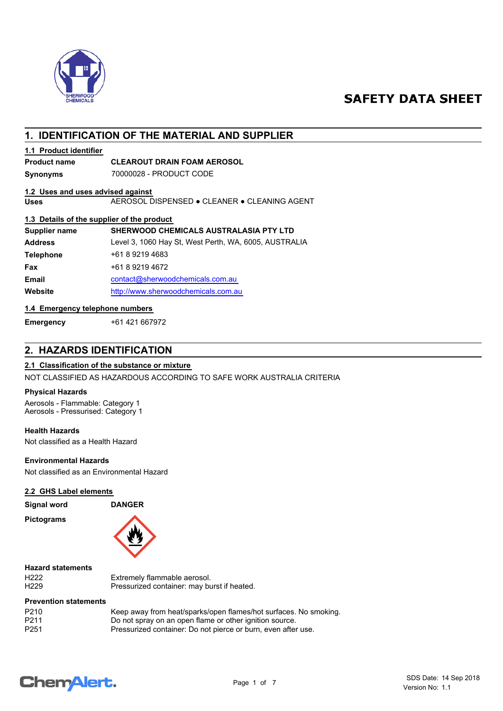

# **SAFETY DATA SHEET**

# **1. IDENTIFICATION OF THE MATERIAL AND SUPPLIER**

### **1.1 Product identifier**

# **Product name CLEAROUT DRAIN FOAM AEROSOL**

**Synonyms** 70000028 - PRODUCT CODE

## **1.2 Uses and uses advised against**

**Uses** AEROSOL DISPENSED ● CLEANER ● CLEANING AGENT

#### **1.3 Details of the supplier of the product**

| Supplier name    | <b>SHERWOOD CHEMICALS AUSTRALASIA PTY LTD</b>         |
|------------------|-------------------------------------------------------|
| <b>Address</b>   | Level 3, 1060 Hay St, West Perth, WA, 6005, AUSTRALIA |
| <b>Telephone</b> | +61 8 9219 4683                                       |
| Fax              | +61 8 9219 4672                                       |
| <b>Email</b>     | contact@sherwoodchemicals.com.au                      |
| Website          | http://www.sherwoodchemicals.com.au                   |
|                  |                                                       |

### **1.4 Emergency telephone numbers**

**Emergency** +61 421 667972

# **2. HAZARDS IDENTIFICATION**

#### **2.1 Classification of the substance or mixture**

NOT CLASSIFIED AS HAZARDOUS ACCORDING TO SAFE WORK AUSTRALIA CRITERIA

#### **Physical Hazards**

Aerosols - Flammable: Category 1 Aerosols - Pressurised: Category 1

## **Health Hazards**

Not classified as a Health Hazard

#### **Environmental Hazards**

Not classified as an Environmental Hazard

#### **2.2 GHS Label elements**

**Signal word DANGER**

**Pictograms**



#### **Hazard statements**

H222 Extremely flammable aerosol.<br>H229 **Extremely flammable accomment** H229 Pressurized container: may burst if heated.

#### **Prevention statements**

| P <sub>210</sub> | Keep away from heat/sparks/open flames/hot surfaces. No smoking. |
|------------------|------------------------------------------------------------------|
| P <sub>211</sub> | Do not spray on an open flame or other ignition source.          |
| P <sub>251</sub> | Pressurized container: Do not pierce or burn, even after use.    |

# **ChemAlert.**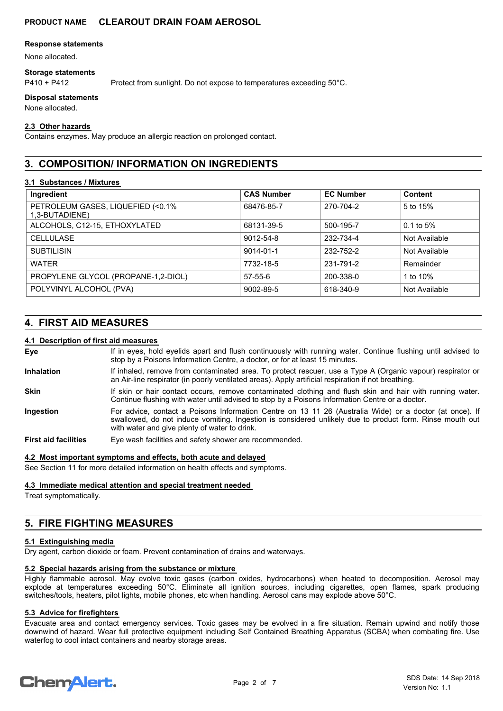#### **Response statements**

None allocated.

#### **Storage statements**

P410 + P412 Protect from sunlight. Do not expose to temperatures exceeding 50°C.

#### **Disposal statements**

None allocated.

#### **2.3 Other hazards**

Contains enzymes. May produce an allergic reaction on prolonged contact.

# **3. COMPOSITION/ INFORMATION ON INGREDIENTS**

#### **3.1 Substances / Mixtures**

| Ingredient                                          | <b>CAS Number</b> | <b>EC Number</b> | <b>Content</b> |
|-----------------------------------------------------|-------------------|------------------|----------------|
| PETROLEUM GASES, LIQUEFIED (<0.1%<br>1,3-BUTADIENE) | 68476-85-7        | 270-704-2        | 5 to 15%       |
| ALCOHOLS, C12-15, ETHOXYLATED                       | 68131-39-5        | 500-195-7        | $0.1$ to 5%    |
| <b>CELLULASE</b>                                    | 9012-54-8         | 232-734-4        | Not Available  |
| <b>SUBTILISIN</b>                                   | 9014-01-1         | 232-752-2        | Not Available  |
| <b>WATER</b>                                        | 7732-18-5         | 231-791-2        | Remainder      |
| PROPYLENE GLYCOL (PROPANE-1,2-DIOL)                 | $57 - 55 - 6$     | 200-338-0        | 1 to 10%       |
| POLYVINYL ALCOHOL (PVA)                             | 9002-89-5         | 618-340-9        | Not Available  |

# **4. FIRST AID MEASURES**

#### **4.1 Description of first aid measures**

If in eyes, hold eyelids apart and flush continuously with running water. Continue flushing until advised to stop by a Poisons Information Centre, a doctor, or for at least 15 minutes. **Eye** If inhaled, remove from contaminated area. To protect rescuer, use a Type A (Organic vapour) respirator or an Air-line respirator (in poorly ventilated areas). Apply artificial respiration if not breathing. **Inhalation** If skin or hair contact occurs, remove contaminated clothing and flush skin and hair with running water. Continue flushing with water until advised to stop by a Poisons Information Centre or a doctor. **Skin** For advice, contact a Poisons Information Centre on 13 11 26 (Australia Wide) or a doctor (at once). If swallowed, do not induce vomiting. Ingestion is considered unlikely due to product form. Rinse mouth out with water and give plenty of water to drink. **Ingestion First aid facilities** Eye wash facilities and safety shower are recommended.

### **4.2 Most important symptoms and effects, both acute and delayed**

See Section 11 for more detailed information on health effects and symptoms.

#### **4.3 Immediate medical attention and special treatment needed**

Treat symptomatically.

# **5. FIRE FIGHTING MEASURES**

#### **5.1 Extinguishing media**

Dry agent, carbon dioxide or foam. Prevent contamination of drains and waterways.

#### **5.2 Special hazards arising from the substance or mixture**

Highly flammable aerosol. May evolve toxic gases (carbon oxides, hydrocarbons) when heated to decomposition. Aerosol may explode at temperatures exceeding 50°C. Eliminate all ignition sources, including cigarettes, open flames, spark producing switches/tools, heaters, pilot lights, mobile phones, etc when handling. Aerosol cans may explode above 50°C.

#### **5.3 Advice for firefighters**

Evacuate area and contact emergency services. Toxic gases may be evolved in a fire situation. Remain upwind and notify those downwind of hazard. Wear full protective equipment including Self Contained Breathing Apparatus (SCBA) when combating fire. Use waterfog to cool intact containers and nearby storage areas.

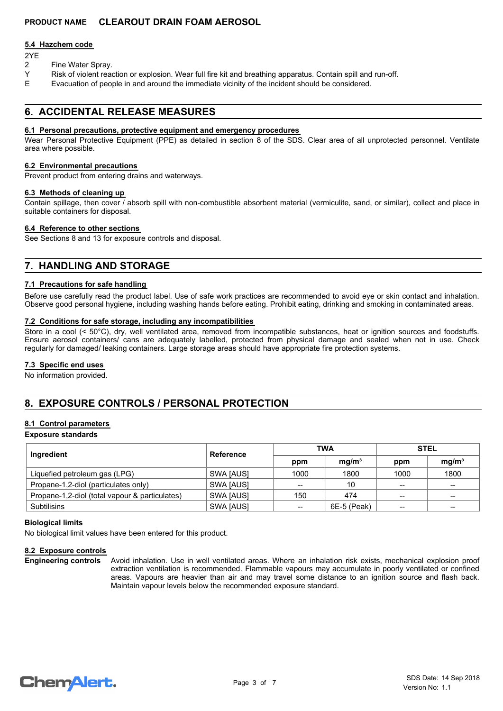#### **5.4 Hazchem code**

- 2YE
- 2 Fine Water Spray.
- Y Risk of violent reaction or explosion. Wear full fire kit and breathing apparatus. Contain spill and run-off.
- E Evacuation of people in and around the immediate vicinity of the incident should be considered.

# **6. ACCIDENTAL RELEASE MEASURES**

#### **6.1 Personal precautions, protective equipment and emergency procedures**

Wear Personal Protective Equipment (PPE) as detailed in section 8 of the SDS. Clear area of all unprotected personnel. Ventilate area where possible.

#### **6.2 Environmental precautions**

Prevent product from entering drains and waterways.

#### **6.3 Methods of cleaning up**

Contain spillage, then cover / absorb spill with non-combustible absorbent material (vermiculite, sand, or similar), collect and place in suitable containers for disposal.

#### **6.4 Reference to other sections**

See Sections 8 and 13 for exposure controls and disposal.

# **7. HANDLING AND STORAGE**

#### **7.1 Precautions for safe handling**

Before use carefully read the product label. Use of safe work practices are recommended to avoid eye or skin contact and inhalation. Observe good personal hygiene, including washing hands before eating. Prohibit eating, drinking and smoking in contaminated areas.

#### **7.2 Conditions for safe storage, including any incompatibilities**

Store in a cool (< 50°C), dry, well ventilated area, removed from incompatible substances, heat or ignition sources and foodstuffs. Ensure aerosol containers/ cans are adequately labelled, protected from physical damage and sealed when not in use. Check regularly for damaged/ leaking containers. Large storage areas should have appropriate fire protection systems.

#### **7.3 Specific end uses**

No information provided.

# **8. EXPOSURE CONTROLS / PERSONAL PROTECTION**

#### **8.1 Control parameters**

#### **Exposure standards**

| Ingredient                                     | Reference | <b>TWA</b>      |                   | <b>STEL</b> |                   |
|------------------------------------------------|-----------|-----------------|-------------------|-------------|-------------------|
|                                                |           | ppm             | mq/m <sup>3</sup> | ppm         | mg/m <sup>3</sup> |
| Liquefied petroleum gas (LPG)                  | SWA [AUS] | 1000            | 1800              | 1000        | 1800              |
| Propane-1,2-diol (particulates only)           | SWA [AUS] | --              | 10                | $-$         | $\qquad \qquad$   |
| Propane-1,2-diol (total vapour & particulates) | SWA [AUS] | 150             | 474               | $- -$       | $- -$             |
| <b>Subtilisins</b>                             | SWA [AUS] | $\qquad \qquad$ | 6E-5 (Peak)       | $- -$       | $- -$             |

#### **Biological limits**

No biological limit values have been entered for this product.

#### **8.2 Exposure controls**

Avoid inhalation. Use in well ventilated areas. Where an inhalation risk exists, mechanical explosion proof extraction ventilation is recommended. Flammable vapours may accumulate in poorly ventilated or confined areas. Vapours are heavier than air and may travel some distance to an ignition source and flash back. Maintain vapour levels below the recommended exposure standard. **Engineering controls**

# **ChemAlert.**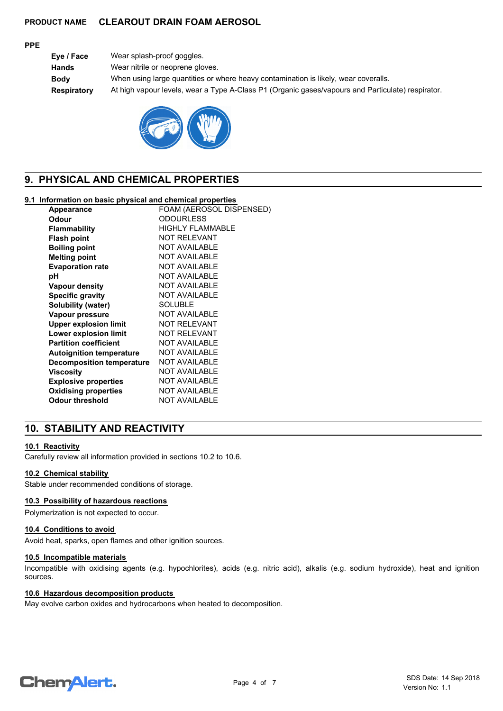#### **PPE**

| Eye / Face  | Wear splash-proof goggles.                                                                        |
|-------------|---------------------------------------------------------------------------------------------------|
| Hands       | Wear nitrile or neoprene gloves.                                                                  |
| Body        | When using large quantities or where heavy contamination is likely, wear coveralls.               |
| Respiratory | At high vapour levels, wear a Type A-Class P1 (Organic gases/vapours and Particulate) respirator. |
|             |                                                                                                   |



# **9. PHYSICAL AND CHEMICAL PROPERTIES**

# **9.1 Information on basic physical and chemical properties**

| Appearance                       | FOAM (AEROSOL DISPENSED) |
|----------------------------------|--------------------------|
| Odour                            | <b>ODOURLESS</b>         |
| <b>Flammability</b>              | <b>HIGHLY FLAMMABLE</b>  |
| <b>Flash point</b>               | <b>NOT RELEVANT</b>      |
| <b>Boiling point</b>             | <b>NOT AVAILABLE</b>     |
| <b>Melting point</b>             | <b>NOT AVAILABLE</b>     |
| <b>Evaporation rate</b>          | <b>NOT AVAILABLE</b>     |
| рH                               | <b>NOT AVAILABLE</b>     |
| <b>Vapour density</b>            | <b>NOT AVAILABLE</b>     |
| <b>Specific gravity</b>          | <b>NOT AVAILABLE</b>     |
| Solubility (water)               | <b>SOLUBLE</b>           |
| Vapour pressure                  | <b>NOT AVAILABLE</b>     |
| <b>Upper explosion limit</b>     | <b>NOT RELEVANT</b>      |
| Lower explosion limit            | <b>NOT RELEVANT</b>      |
| <b>Partition coefficient</b>     | <b>NOT AVAILABLE</b>     |
| <b>Autoignition temperature</b>  | <b>NOT AVAILABLE</b>     |
| <b>Decomposition temperature</b> | <b>NOT AVAILABLE</b>     |
| <b>Viscosity</b>                 | <b>NOT AVAILABLE</b>     |
| <b>Explosive properties</b>      | <b>NOT AVAILABLE</b>     |
| <b>Oxidising properties</b>      | <b>NOT AVAILABLE</b>     |
| Odour threshold                  | <b>NOT AVAILABLE</b>     |
|                                  |                          |

# **10. STABILITY AND REACTIVITY**

### **10.1 Reactivity**

Carefully review all information provided in sections 10.2 to 10.6.

#### **10.2 Chemical stability**

Stable under recommended conditions of storage.

### **10.3 Possibility of hazardous reactions**

Polymerization is not expected to occur.

#### **10.4 Conditions to avoid**

Avoid heat, sparks, open flames and other ignition sources.

#### **10.5 Incompatible materials**

Incompatible with oxidising agents (e.g. hypochlorites), acids (e.g. nitric acid), alkalis (e.g. sodium hydroxide), heat and ignition sources.

## **10.6 Hazardous decomposition products**

May evolve carbon oxides and hydrocarbons when heated to decomposition.

# **Chemalert.**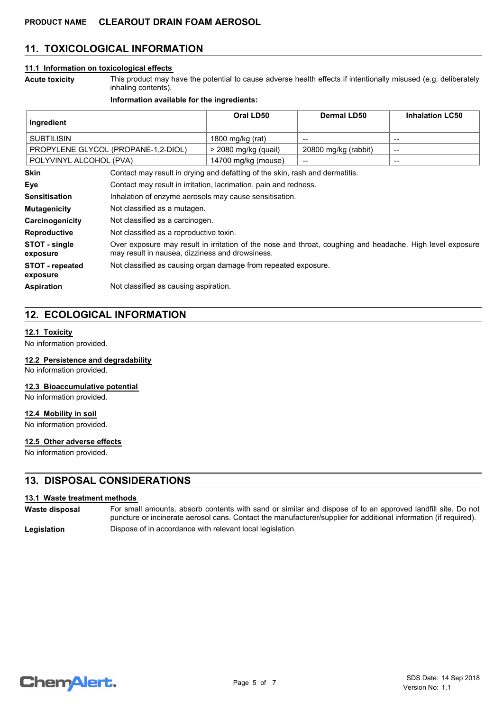# **11. TOXICOLOGICAL INFORMATION**

#### **11.1 Information on toxicological effects**

This product may have the potential to cause adverse health effects if intentionally misused (e.g. deliberately inhaling contents).

#### **Information available for the ingredients:**

| Ingredient                  |                                                                                                                                                              | Oral LD50            | <b>Dermal LD50</b>   | <b>Inhalation LC50</b>   |
|-----------------------------|--------------------------------------------------------------------------------------------------------------------------------------------------------------|----------------------|----------------------|--------------------------|
| <b>SUBTILISIN</b>           |                                                                                                                                                              | 1800 mg/kg (rat)     | $\qquad \qquad$      | $\overline{\phantom{a}}$ |
|                             | PROPYLENE GLYCOL (PROPANE-1,2-DIOL)                                                                                                                          | > 2080 mg/kg (quail) | 20800 mg/kg (rabbit) | $\overline{\phantom{a}}$ |
| POLYVINYL ALCOHOL (PVA)     |                                                                                                                                                              | 14700 mg/kg (mouse)  | --                   | $\overline{\phantom{a}}$ |
| <b>Skin</b>                 | Contact may result in drying and defatting of the skin, rash and dermatitis.                                                                                 |                      |                      |                          |
| Eye                         | Contact may result in irritation, lacrimation, pain and redness.                                                                                             |                      |                      |                          |
| <b>Sensitisation</b>        | Inhalation of enzyme aerosols may cause sensitisation.                                                                                                       |                      |                      |                          |
| <b>Mutagenicity</b>         | Not classified as a mutagen.                                                                                                                                 |                      |                      |                          |
| Carcinogenicity             | Not classified as a carcinogen.                                                                                                                              |                      |                      |                          |
| <b>Reproductive</b>         | Not classified as a reproductive toxin.                                                                                                                      |                      |                      |                          |
| STOT - single<br>exposure   | Over exposure may result in irritation of the nose and throat, coughing and headache. High level exposure<br>may result in nausea, dizziness and drowsiness. |                      |                      |                          |
| STOT - repeated<br>exposure | Not classified as causing organ damage from repeated exposure.                                                                                               |                      |                      |                          |
| <b>Aspiration</b>           | Not classified as causing aspiration.                                                                                                                        |                      |                      |                          |

# **12. ECOLOGICAL INFORMATION**

#### **12.1 Toxicity**

**Acute toxicity**

No information provided.

#### **12.2 Persistence and degradability**

No information provided.

#### **12.3 Bioaccumulative potential**

No information provided.

#### **12.4 Mobility in soil**

No information provided.

# **12.5 Other adverse effects**

No information provided.

## **13. DISPOSAL CONSIDERATIONS**

#### **13.1 Waste treatment methods**

**Waste disposal**

For small amounts, absorb contents with sand or similar and dispose of to an approved landfill site. Do not puncture or incinerate aerosol cans. Contact the manufacturer/supplier for additional information (if required). Legislation **Dispose of in accordance with relevant local legislation.** 

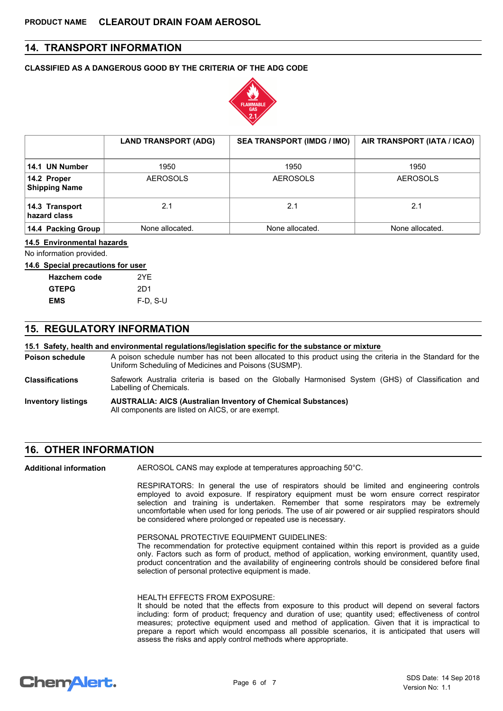# **14. TRANSPORT INFORMATION**

#### **CLASSIFIED AS A DANGEROUS GOOD BY THE CRITERIA OF THE ADG CODE**



|                                     | <b>LAND TRANSPORT (ADG)</b> | <b>SEA TRANSPORT (IMDG / IMO)</b> | AIR TRANSPORT (IATA / ICAO) |
|-------------------------------------|-----------------------------|-----------------------------------|-----------------------------|
| 14.1 UN Number                      | 1950                        | 1950                              | 1950                        |
| 14.2 Proper<br><b>Shipping Name</b> | <b>AEROSOLS</b>             | <b>AEROSOLS</b>                   | <b>AEROSOLS</b>             |
| 14.3 Transport<br>hazard class      | 2.1                         | 2.1                               | 2.1                         |
| 14.4 Packing Group                  | None allocated.             | None allocated.                   | None allocated.             |

#### **14.5 Environmental hazards**

No information provided.

#### **14.6 Special precautions for user**

| <b>Hazchem code</b> | 2YF        |
|---------------------|------------|
| <b>GTEPG</b>        | 2D1        |
| EMS                 | $F-D. S-U$ |

## **15. REGULATORY INFORMATION**

#### **15.1 Safety, health and environmental regulations/legislation specific for the substance or mixture**

A poison schedule number has not been allocated to this product using the criteria in the Standard for the Uniform Scheduling of Medicines and Poisons (SUSMP). **Poison schedule**

- Safework Australia criteria is based on the Globally Harmonised System (GHS) of Classification and Labelling of Chemicals. **Classifications**
- **AUSTRALIA: AICS (Australian Inventory of Chemical Substances)** All components are listed on AICS, or are exempt. **Inventory listings**

## **16. OTHER INFORMATION**

AEROSOL CANS may explode at temperatures approaching 50°C. **Additional information**

> RESPIRATORS: In general the use of respirators should be limited and engineering controls employed to avoid exposure. If respiratory equipment must be worn ensure correct respirator selection and training is undertaken. Remember that some respirators may be extremely uncomfortable when used for long periods. The use of air powered or air supplied respirators should be considered where prolonged or repeated use is necessary.

PERSONAL PROTECTIVE EQUIPMENT GUIDELINES:

The recommendation for protective equipment contained within this report is provided as a guide only. Factors such as form of product, method of application, working environment, quantity used, product concentration and the availability of engineering controls should be considered before final selection of personal protective equipment is made.

#### HEALTH EFFECTS FROM EXPOSURE:

It should be noted that the effects from exposure to this product will depend on several factors including: form of product; frequency and duration of use; quantity used; effectiveness of control measures; protective equipment used and method of application. Given that it is impractical to prepare a report which would encompass all possible scenarios, it is anticipated that users will assess the risks and apply control methods where appropriate.